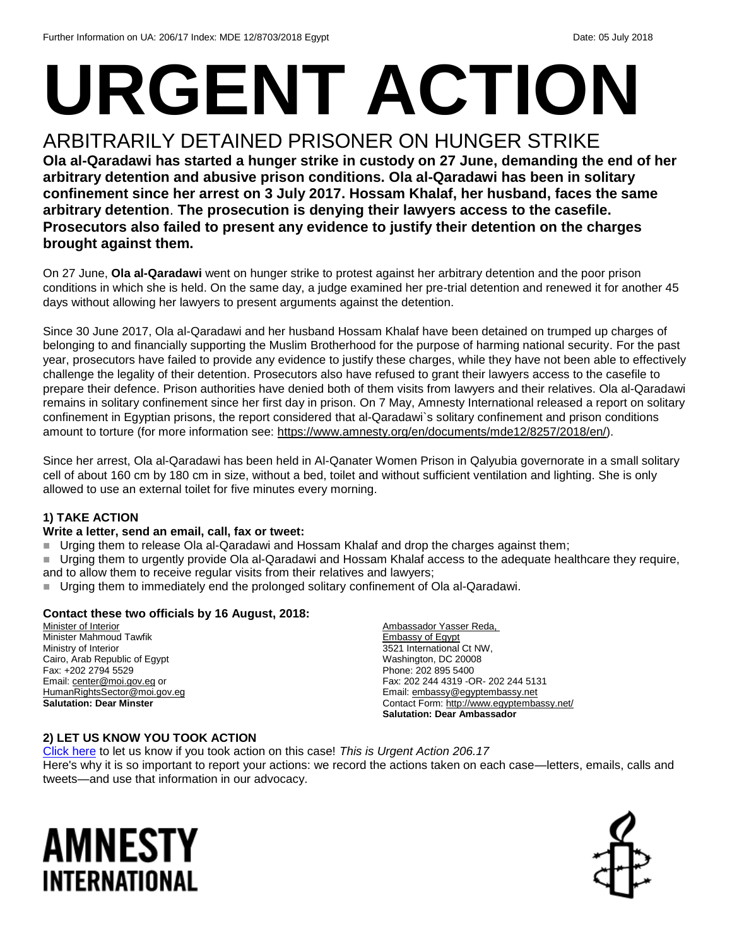# **URGENT ACTION**

# ARBITRARILY DETAINED PRISONER ON HUNGER STRIKE

**Ola al-Qaradawi has started a hunger strike in custody on 27 June, demanding the end of her arbitrary detention and abusive prison conditions. Ola al-Qaradawi has been in solitary confinement since her arrest on 3 July 2017. Hossam Khalaf, her husband, faces the same arbitrary detention**. **The prosecution is denying their lawyers access to the casefile. Prosecutors also failed to present any evidence to justify their detention on the charges brought against them.**

On 27 June, **Ola al-Qaradawi** went on hunger strike to protest against her arbitrary [detention](https://www.perseus-strategies.com/wp-content/uploads/2018/06/WGAD-Opinion-Final-6.15.18.pdf) and the poor prison conditions in which she is held. On the same day, a judge examined her pre-trial detention and renewed it for another 45 days without allowing her lawyers to present arguments against the detention.

Since 30 June 2017, Ola al-Qaradawi and her husband Hossam Khalaf have been detained on trumped up charges of belonging to and financially supporting the Muslim Brotherhood for the purpose of harming national security. For the past year, prosecutors have failed to provide any evidence to justify these charges, while they have not been able to effectively challenge the legality of their detention. Prosecutors also have refused to grant their lawyers access to the casefile to prepare their defence. Prison authorities have denied both of them visits from lawyers and their relatives. Ola al-Qaradawi remains in solitary confinement since her first day in prison. On 7 May, Amnesty International released a report on solitary confinement in Egyptian prisons, the report considered that al-Qaradawi`s solitary confinement and prison conditions amount to torture (for more information see: [https://www.amnesty.org/en/documents/mde12/8257/2018/en/\)](https://www.amnesty.org/en/documents/mde12/8257/2018/en/).

Since her arrest, Ola al-Qaradawi has been held in Al-Qanater Women Prison in Qalyubia governorate in a small solitary cell of about 160 cm by 180 cm in size, without a bed, toilet and without sufficient ventilation and lighting. She is only allowed to use an external toilet for five minutes every morning.

#### **1) TAKE ACTION**

#### **Write a letter, send an email, call, fax or tweet:**

- Urging them to release Ola al-Qaradawi and Hossam Khalaf and drop the charges against them;
- Urging them to urgently provide Ola al-Qaradawi and Hossam Khalaf access to the adequate healthcare they require, and to allow them to receive regular visits from their relatives and lawyers;
- Urging them to immediately end the prolonged solitary confinement of Ola al-Qaradawi.

#### **Contact these two officials by 16 August, 2018:**

Minister of Interior Minister Mahmoud Tawfik Ministry of Interior Cairo, Arab Republic of Egypt Fax: +202 2794 5529 Email[: center@moi.gov.eg](mailto:center@moi.gov.eg) or [HumanRightsSector@moi.gov.eg](mailto:HumanRightsSector@moi.gov.eg) **Salutation: Dear Minster** 

Ambassador Yasser Reda, Embassy of Egypt 3521 International Ct NW, Washington, DC 20008 Phone: 202 895 5400 Fax: 202 244 4319 -OR- 202 244 5131 Email[: embassy@egyptembassy.net](mailto:embassy@egyptembassy.net) Contact Form:<http://www.egyptembassy.net/> **Salutation: Dear Ambassador** 

#### **2) LET US KNOW YOU TOOK ACTION**

[Click here](https://www.amnestyusa.org/report-urgent-actions/) to let us know if you took action on this case! *This is Urgent Action 206.17* Here's why it is so important to report your actions: we record the actions taken on each case—letters, emails, calls and tweets—and use that information in our advocacy.